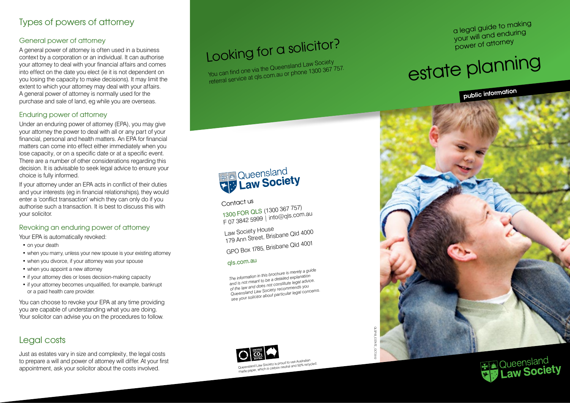## Types of powers of attorney

#### General power of attorney

A general power of attorney is often used in a business context by a corporation or an individual. It can authorise your attorney to deal with your financial affairs and comes into effect on the date you elect (ie it is not dependent on you losing the capacity to make decisions). It may limit the extent to which your attorney may deal with your affairs. A general power of attorney is normally used for the purchase and sale of land, eg while you are overseas.

#### Enduring power of attorney

Under an enduring power of attorney (EPA), you may give your attorney the power to deal with all or any part of your financial, personal and health matters. An EPA for financial matters can come into effect either immediately when you lose capacity, or on a specific date or at a specific event. There are a number of other considerations regarding this decision. It is advisable to seek legal advice to ensure your choice is fully informed.

If your attorney under an EPA acts in conflict of their duties and your interests (eg in financial relationships), they would enter a 'conflict transaction' which they can only do if you authorise such a transaction. It is best to discuss this with your solicitor.

#### Revoking an enduring power of attorney

Your EPA is automatically revoked:

- on your death
- when you marry, unless your new spouse is your existing attorney
- when you divorce, if your attorney was your spouse
- when you appoint a new attorney
- if your attorney dies or loses decision-making capacity
- if your attorney becomes unqualified, for example, bankrupt or a paid health care provider.

You can choose to revoke your EPA at any time providing you are capable of understanding what you are doing. Your solicitor can advise you on the procedures to follow.

## Legal costs

Just as estates vary in size and complexity, the legal costs to prepare a will and power of attorney will differ. At your first appointment, ask your solicitor about the costs involved.

## Looking for a solicitor?

You can find one via the Queensland Law Society referral service at <sup>q</sup>ls.com.au or phone <sup>1300</sup> <sup>367</sup> 757.



Contact us

1300 FOR QLS (1300 367 757) 1300 FOR GEO (1.1<br>F 07 3842 5999 | info@qls.com.au

Law Society House 179 Ann Street, Brisbane Qld 4000

GPO Box 1785, Brisbane Qld 4001

#### <sup>q</sup>ls.com.au

*The information in this brochure is merely a guide and is not meant to be a detailed explanation of the law and does not constitute legal advice. Queensland Law Society recommends you see your solicitor about particular legal concerns.*



a legal guide to making your will and enduring power of attorney

# estate planning